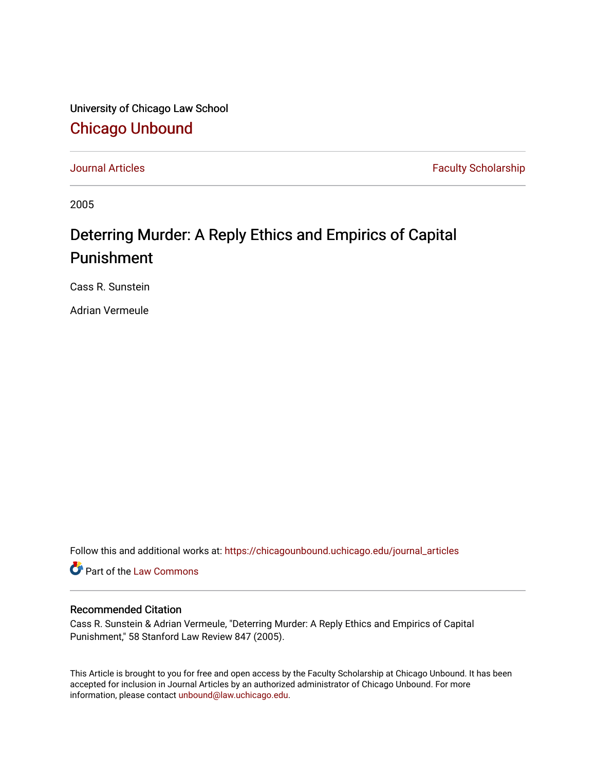University of Chicago Law School [Chicago Unbound](https://chicagounbound.uchicago.edu/)

[Journal Articles](https://chicagounbound.uchicago.edu/journal_articles) **Faculty Scholarship Journal Articles** 

2005

## Deterring Murder: A Reply Ethics and Empirics of Capital Punishment

Cass R. Sunstein

Adrian Vermeule

Follow this and additional works at: [https://chicagounbound.uchicago.edu/journal\\_articles](https://chicagounbound.uchicago.edu/journal_articles?utm_source=chicagounbound.uchicago.edu%2Fjournal_articles%2F8355&utm_medium=PDF&utm_campaign=PDFCoverPages) 

Part of the [Law Commons](http://network.bepress.com/hgg/discipline/578?utm_source=chicagounbound.uchicago.edu%2Fjournal_articles%2F8355&utm_medium=PDF&utm_campaign=PDFCoverPages)

## Recommended Citation

Cass R. Sunstein & Adrian Vermeule, "Deterring Murder: A Reply Ethics and Empirics of Capital Punishment," 58 Stanford Law Review 847 (2005).

This Article is brought to you for free and open access by the Faculty Scholarship at Chicago Unbound. It has been accepted for inclusion in Journal Articles by an authorized administrator of Chicago Unbound. For more information, please contact [unbound@law.uchicago.edu](mailto:unbound@law.uchicago.edu).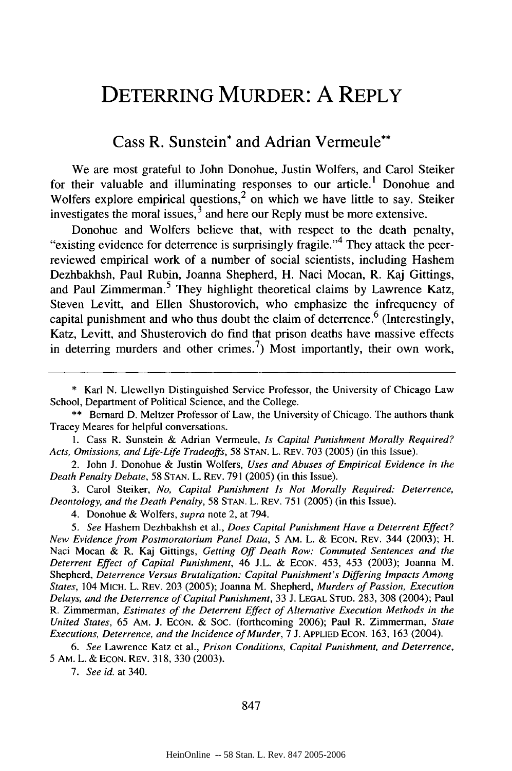## DETERRING MURDER: **A** REPLY

## Cass R. Sunstein\* and Adrian Vermeule\*\*

We are most grateful to John Donohue, Justin Wolfers, and Carol Steiker for their valuable and illuminating responses to our article.' Donohue and Wolfers explore empirical questions,<sup>2</sup> on which we have little to say. Steiker investigates the moral issues, $3$  and here our Reply must be more extensive.

Donohue and Wolfers believe that, with respect to the death penalty, "existing evidence for deterrence is surprisingly fragile."<sup>4</sup> They attack the peerreviewed empirical work of a number of social scientists, including Hashem Dezhbakhsh, Paul Rubin, Joanna Shepherd, H. Naci Mocan, R. Kaj Gittings, and Paul Zimmerman.<sup>5</sup> They highlight theoretical claims by Lawrence Katz, Steven Levitt, and Ellen Shustorovich, who emphasize the infrequency of capital punishment and who thus doubt the claim of deterrence.<sup>6</sup> (Interestingly, Katz, Levitt, and Shusterovich do find that prison deaths have massive effects in deterring murders and other crimes.<sup>7</sup>) Most importantly, their own work,

1. Cass R. Sunstein & Adrian Vermeule, *Is Capital Punishment Morally Required? Acts, Omissions, and Life-Life Tradeoffs,* 58 STAN. L. REV. 703 (2005) (in this Issue).

2. John **J.** Donohue & Justin Wolfers, *Uses and Abuses of Empirical Evidence in the Death Penalty Debate,* 58 STAN. L. REV. 791 (2005) (in this Issue).

3. Carol Steiker, *No, Capital Punishment Is Not Morally Required: Deterrence, Deontology, and the Death Penalty,* 58 STAN. L. REV. 751 (2005) (in this Issue).

4. Donohue & Wolfers, *supra* note 2, at 794.

*5. See* Hashem Dezhbakhsh et al., *Does Capital Punishment Have a Deterrent Effect?* New *Evidence from Postmoratorium Panel Data,* 5 AM. L. & ECON. REV. 344 (2003); H. Naci Mocan & R. Kaj Gittings, *Getting Off Death Row: Commuted Sentences and the Deterrent Effect of Capital Punishment,* 46 J.L. & ECON. 453, 453 (2003); Joanna M. Shepherd, *Deterrence Versus Brutalization: Capital Punishment's Differing Impacts Among States,* 104 MICH. L. REV. 203 (2005); Joanna M. Shepherd, *Murders of Passion, Execution Delays, and the Deterrence of Capital Punishment,* 33 J. LEGAL STUD. 283, 308 (2004); Paul R. Zimmerman, *Estimates of the Deterrent Effect of Alternative Execution Methods in the United States,* 65 AM. J. ECON. & SOC. (forthcoming 2006); Paul R. Zimmerman, *State Executions, Deterrence, and the Incidence of Murder,* 7 J. APPLIED EcON. 163, 163 (2004).

*6. See* Lawrence Katz et al., *Prison Conditions, Capital Punishment, and Deterrence,* 5 AM. L. & ECON. REV. 318, 330 (2003).

*7. See id.* at 340.

847

<sup>\*</sup> Karl N. Llewellyn Distinguished Service Professor, the University of Chicago Law School, Department of Political Science, and the College.

<sup>\*\*</sup> Bernard D. Meltzer Professor of Law, the University of Chicago. The authors thank Tracey Meares for helpful conversations.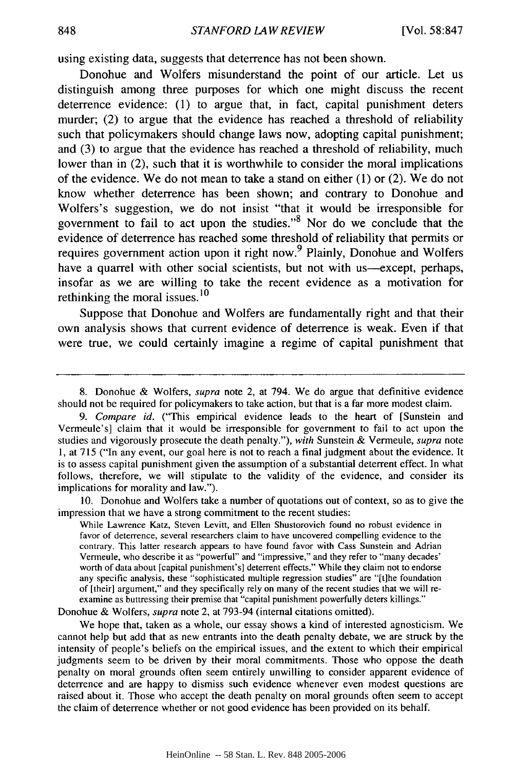using existing data, suggests that deterrence has not been shown.

Donohue and Wolfers misunderstand the point of our article. Let us distinguish among three purposes for which one might discuss the recent deterrence evidence: (1) to argue that, in fact, capital punishment deters murder; (2) to argue that the evidence has reached a threshold of reliability such that policymakers should change laws now, adopting capital punishment; and (3) to argue that the evidence has reached a threshold of reliability, much lower than in (2), such that it is worthwhile to consider the moral implications of the evidence. We do not mean to take a stand on either (1) or (2). We do not know whether deterrence has been shown; and contrary to Donohue and Wolfers's suggestion, we do not insist "that it would be irresponsible for government to fail to act upon the studies." $8$  Nor do we conclude that the evidence of deterrence has reached some threshold of reliability that permits or requires government action upon it right now.<sup>9</sup> Plainly, Donohue and Wolfers have a quarrel with other social scientists, but not with us-except, perhaps, insofar as we are willing to take the recent evidence as a motivation for rethinking the moral issues.<sup>10</sup>

Suppose that Donohue and Wolfers are fundamentally right and that their own analysis shows that current evidence of deterrence is weak. Even if that were true, we could certainly imagine a regime of capital punishment that

8. Donohue & Wolfers, supra note 2, at 794. We do argue that definitive evidence should not be required for policymakers to take action, but that is a far more modest claim.

*9. Compare id.* ("This empirical evidence leads to the heart of [Sunstein and Vermeule's] claim that it would be irresponsible for government to fail to act upon the studies and vigorously prosecute the death penalty."), *with* Sunstein & Vermeule, *supra* note 1, at 715 ("In any event, our goal here is not to reach a final judgment about the evidence. It is to assess capital punishment given the assumption of a substantial deterrent effect. In what follows, therefore, we will stipulate to the validity of the evidence, and consider its implications for morality and law.").

10. Donohue and Wolfers take a number of quotations out of context, so as to give the impression that we have a strong commitment to the recent studies:

While Lawrence Katz, Steven Levitt, and Ellen Shustorovich found no robust evidence in favor of deterrence, several researchers claim to have uncovered compelling evidence to the contrary. This latter research appears to have found favor with Cass Sunstein and Adrian Vermeule, who describe it as "powerful" and "impressive," and they refer to "many decades' worth of data about [capital punishment's] deterrent effects." While they claim not to endorse any specific analysis, these "sophisticated multiple regression studies" are "[t]he foundation of [their] argument," and they specifically rely on many of the recent studies that we will re examine as buttressing their premise that "capital punishment powerfully deters killings."

Donohue & Wolfers, *supra* note 2, at 793-94 (internal citations omitted).

We hope that, taken as a whole, our essay shows a kind of interested agnosticism. We cannot help but add that as new entrants into the death penalty debate, we are struck by the intensity of people's beliefs on the empirical issues, and the extent to which their empirical judgments seem to be driven by their moral commitments. Those who oppose the death penalty on moral grounds often seem entirely unwilling to consider apparent evidence of deterrence and are happy to dismiss such evidence whenever even modest questions are raised about it. Those who accept the death penalty on moral grounds often seem to accept the claim of deterrence whether or not good evidence has been provided on its behalf.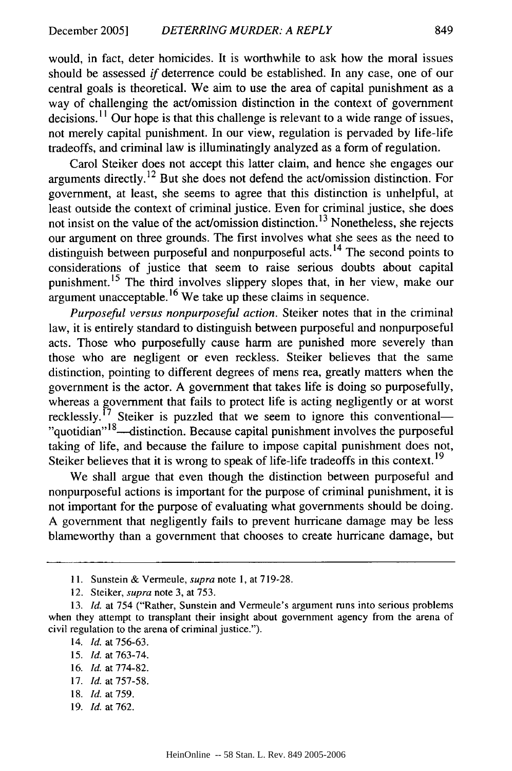would, in fact, deter homicides. It is worthwhile to ask how the moral issues should be assessed if deterrence could be established. In any case, one of our central goals is theoretical. We aim to use the area of capital punishment as a way of challenging the act/omission distinction in the context of government decisions.<sup>11</sup> Our hope is that this challenge is relevant to a wide range of issues, not merely capital punishment. In our view, regulation is pervaded by life-life tradeoffs, and criminal law is illuminatingly analyzed as a form of regulation.

Carol Steiker does not accept this latter claim, and hence she engages our arguments directly. 12 But she does not defend the act/omission distinction. For government, at least, she seems to agree that this distinction is unhelpful, at least outside the context of criminal justice. Even for criminal justice, she does not insist on the value of the act/omission distinction. 13 Nonetheless, she rejects our argument on three grounds. The first involves what she sees as the need to distinguish between purposeful and nonpurposeful acts.<sup>14</sup> The second points to considerations of justice that seem to raise serious doubts about capital punishment. 15 The third involves slippery slopes that, in her view, make our argument unacceptable. **1 <sup>6</sup>**We take up these claims in sequence.

*Purposeful versus nonpurposeful action.* Steiker notes that in the criminal law, it is entirely standard to distinguish between purposeful and nonpurposeful acts. Those who purposefully cause harm are punished more severely than those who are negligent or even reckless. Steiker believes that the same distinction, pointing to different degrees of mens rea, greatly matters when the government is the actor. A government that takes life is doing so purposefully, whereas a government that fails to protect life is acting negligently or at worst recklessly.<sup> $17$ </sup> Steiker is puzzled that we seem to ignore this conventional-"quotidian"<sup>18</sup>—distinction. Because capital punishment involves the purposeful taking of life, and because the failure to impose capital punishment does not, Steiker believes that it is wrong to speak of life-life tradeoffs in this context.<sup>19</sup>

We shall argue that even though the distinction between purposeful and nonpurposeful actions is important for the purpose of criminal punishment, it is not important for the purpose of evaluating what governments should be doing. A government that negligently fails to prevent hurricane damage may be less blameworthy than a government that chooses to create hurricane damage, but

- 17. *Id.* at 757-58.
- 18. *Id.* at 759.
- 19. *Id.* at 762.

<sup>11.</sup> Sunstein & Vermeule, *supra* note 1, at 719-28.

<sup>12.</sup> Steiker, *supra* note 3, at 753.

<sup>13.</sup> *Id.* at 754 ("Rather, Sunstein and Vermeule's argument runs into serious problems when they attempt to transplant their insight about government agency from the arena of civil regulation to the arena of criminal justice.").

<sup>14.</sup> *Id.* at 756-63.

<sup>15.</sup> *Id.* at 763-74.

<sup>16.</sup> *Id.* at 774-82.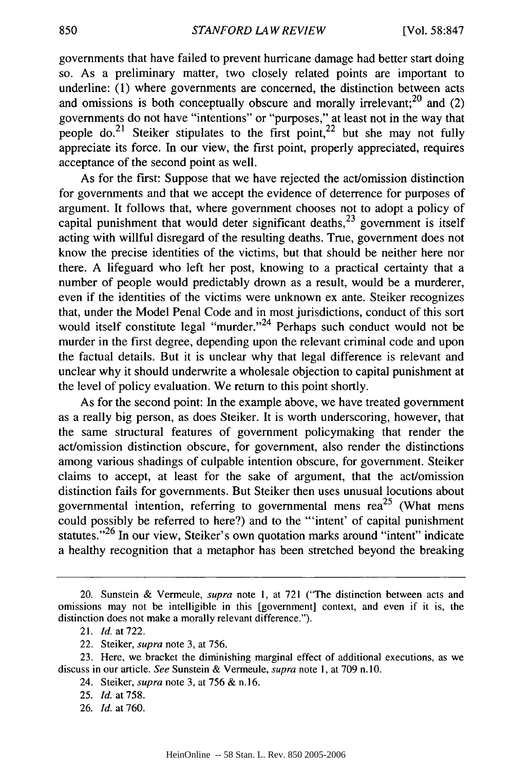governments that have failed to prevent hurricane damage had better start doing so. As a preliminary matter, two closely related points are important to underline: (1) where governments are concerned, the distinction between acts and omissions is both conceptually obscure and morally irrelevant; $^{20}$  and (2) governments do not have "intentions" or "purposes," at least not in the way that people do.<sup>21</sup> Steiker stipulates to the first point,  $2^2$  but she may not fully appreciate its force. In our view, the first point, properly appreciated, requires acceptance of the second point as well.

As for the first: Suppose that we have rejected the act/omission distinction for governments and that we accept the evidence of deterrence for purposes of argument. It follows that, where government chooses not to adopt a policy of capital punishment that would deter significant deaths,  $^{23}$  government is itself acting with willful disregard of the resulting deaths. True, government does not know the precise identities of the victims, but that should be neither here nor there. A lifeguard who left her post, knowing to a practical certainty that a number of people would predictably drown as a result, would be a murderer, even if the identities of the victims were unknown ex ante. Steiker recognizes that, under the Model Penal Code and in most jurisdictions, conduct of this sort would itself constitute legal "murder."<sup>24</sup> Perhaps such conduct would not be murder in the first degree, depending upon the relevant criminal code and upon the factual details. But it is unclear why that legal difference is relevant and unclear why it should underwrite a wholesale objection to capital punishment at the level of policy evaluation. We return to this point shortly.

As for the second point: In the example above, we have treated government as a really big person, as does Steiker. It is worth underscoring, however, that the same structural features of government policymaking that render the act/omission distinction obscure, for government, also render the distinctions among various shadings of culpable intention obscure, for government. Steiker claims to accept, at least for the sake of argument, that the act/omission distinction fails for governments. But Steiker then uses unusual locutions about governmental intention, referring to governmental mens rea<sup>25</sup> (What mens could possibly be referred to here?) and to the "'intent' of capital punishment statutes."<sup>26</sup> In our view, Steiker's own quotation marks around "intent" indicate a healthy recognition that a metaphor has been stretched beyond the breaking

- 24. Steiker, *supra* note 3, at 756 & n. 16.
- 25. *Id.* at 758.
- 26. *Id.* at 760.

<sup>20.</sup> Sunstein & Vermeule, *supra* note 1, at 721 ("The distinction between acts and omissions may not be intelligible in this [government] context, and even if it is, the distinction does not make a morally relevant difference.").

<sup>21.</sup> *Id.* at722.

<sup>22.</sup> Steiker, supra note 3, at 756.

<sup>23.</sup> Here, we bracket the diminishing marginal effect of additional executions, as we discuss in our article. *See* Sunstein & Vermeule, *supra* note **1,** at 709 n. 10.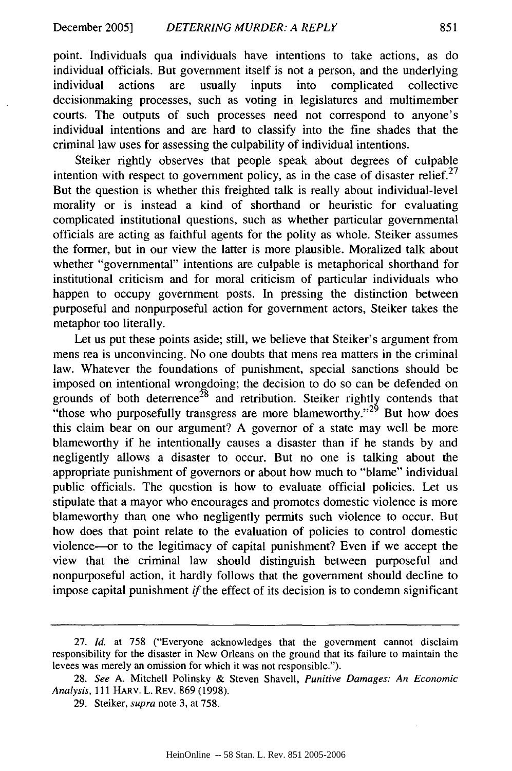point. Individuals qua individuals have intentions to take actions, as do individual officials. But government itself is not a person, and the underlying individual actions are usually inputs into complicated collective decisionmaking processes, such as voting in legislatures and multimember courts. The outputs of such processes need not correspond to anyone's individual intentions and are hard to classify into the fine shades that the criminal law uses for assessing the culpability of individual intentions.

Steiker rightly observes that people speak about degrees of culpable intention with respect to government policy, as in the case of disaster relief.<sup>27</sup> But the question is whether this freighted talk is really about individual-level morality or is instead a kind of shorthand or heuristic for evaluating complicated institutional questions, such as whether particular governmental officials are acting as faithful agents for the polity as whole. Steiker assumes the former, but in our view the latter is more plausible. Moralized talk about whether "governmental" intentions are culpable is metaphorical shorthand for institutional criticism and for moral criticism of particular individuals who happen to occupy government posts. In pressing the distinction between purposeful and nonpurposeful action for government actors, Steiker takes the metaphor too literally.

Let us put these points aside; still, we believe that Steiker's argument from mens rea is unconvincing. No one doubts that mens rea matters in the criminal law. Whatever the foundations of punishment, special sanctions should be imposed on intentional wrongdoing; the decision to do so can be defended on grounds of both deterrence<sup>28</sup> and retribution. Steiker rightly contends that "those who purposefully transgress are more blameworthy."<sup>29</sup> But how does this claim bear on our argument? A governor of a state may well be more blameworthy if he intentionally causes a disaster than if he stands by and negligently allows a disaster to occur. But no one is talking about the appropriate punishment of governors or about how much to "blame" individual public officials. The question is how to evaluate official policies. Let us stipulate that a mayor who encourages and promotes domestic violence is more blameworthy than one who negligently permits such violence to occur. But how does that point relate to the evaluation of policies to control domestic violence-or to the legitimacy of capital punishment? Even if we accept the view that the criminal law should distinguish between purposeful and nonpurposeful action, it hardly follows that the government should decline to impose capital punishment *if* the effect of its decision is to condemn significant

<sup>27.</sup> *Id.* at 758 ("Everyone acknowledges that the government cannot disclaim responsibility for the disaster in New Orleans on the ground that its failure to maintain the levees was merely an omission for which it was not responsible.").

<sup>28.</sup> *See* A. Mitchell Polinsky & Steven Shavell, *Punitive Damages: An Economic Analysis,* 111 HARV. L. REV. 869 (1998).

<sup>29.</sup> Steiker, supra note 3, at 758.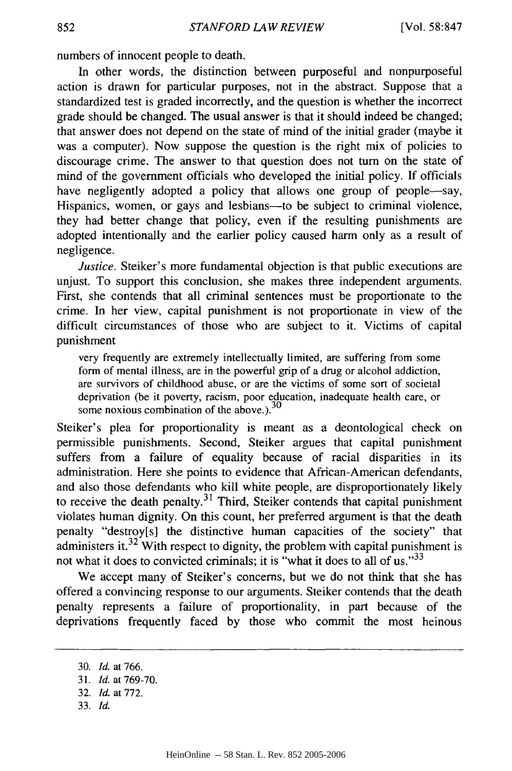numbers of innocent people to death.

In other words, the distinction between purposeful and nonpurposeful action is drawn for particular purposes, not in the abstract. Suppose that a standardized test is graded incorrectly, and the question is whether the incorrect grade should be changed. The usual answer is that it should indeed be changed; that answer does not depend on the state of mind of the initial grader (maybe it was a computer). Now suppose the question is the right mix of policies to discourage crime. The answer to that question does not turn on the state of mind of the government officials who developed the initial policy. If officials have negligently adopted a policy that allows one group of people-say, Hispanics, women, or gays and lesbians--to be subject to criminal violence, they had better change that policy, even if the resulting punishments are adopted intentionally and the earlier policy caused harm only as a result of negligence.

*Justice.* Steiker's more fundamental objection is that public executions are unjust. To support this conclusion, she makes three independent arguments. First, she contends that all criminal sentences must be proportionate to the crime. In her view, capital punishment is not proportionate in view of the difficult circumstances of those who are subject to it. Victims of capital punishment

very frequently are extremely intellectually limited, are suffering from some form of mental illness, are in the powerful grip of a drug or alcohol addiction, are survivors of childhood abuse, or are the victims of some sort of societal deprivation (be it poverty, racism, poor education, inadequate health care, or some noxious combination of the above.).<sup>30</sup>

Steiker's plea for proportionality is meant as a deontological check on permissible punishments. Second, Steiker argues that capital punishment suffers from a failure of equality because of racial disparities in its administration. Here she points to evidence that African-American defendants, and also those defendants who kill white people, are disproportionately likely to receive the death penalty. $3<sup>1</sup>$  Third, Steiker contends that capital punishment violates human dignity. On this count, her preferred argument is that the death penalty "destroy[s] the distinctive human capacities of the society" that administers **it.32** With respect to dignity, the problem with capital punishment is not what it does to convicted criminals; it is "what it does to all of us." $33$ 

We accept many of Steiker's concerns, but we do not think that she has offered a convincing response to our arguments. Steiker contends that the death penalty represents a failure of proportionality, in part because of the deprivations frequently faced by those who commit the most heinous

<sup>30.</sup> *Id.* at 766.

<sup>31.</sup> *Id.* at 769-70.

<sup>32.</sup> *Id.* at 772.

<sup>33.</sup> *Id.*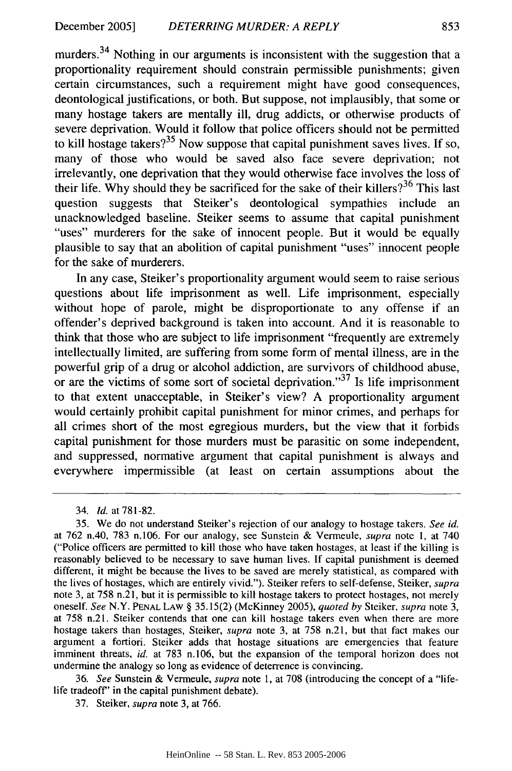murders.<sup>34</sup> Nothing in our arguments is inconsistent with the suggestion that a proportionality requirement should constrain permissible punishments; given certain circumstances, such a requirement might have good consequences, deontological justifications, or both. But suppose, not implausibly, that some or many hostage takers are mentally ill, drug addicts, or otherwise products of severe deprivation. Would it follow that police officers should not be permitted to kill hostage takers?<sup>35</sup> Now suppose that capital punishment saves lives. If so, many of those who would be saved also face severe deprivation; not irrelevantly, one deprivation that they would otherwise face involves the loss of their life. Why should they be sacrificed for the sake of their killers?<sup>36</sup> This last question suggests that Steiker's deontological sympathies include an unacknowledged baseline. Steiker seems to assume that capital punishment "uses" murderers for the sake of innocent people. But it would be equally plausible to say that an abolition of capital punishment "uses" innocent people for the sake of murderers.

In any case, Steiker's proportionality argument would seem to raise serious questions about life imprisonment as well. Life imprisonment, especially without hope of parole, might be disproportionate to any offense if an offender's deprived background is taken into account. And it is reasonable to think that those who are subject to life imprisonment "frequently are extremely intellectually limited, are suffering from some form of mental illness, are in the powerful grip of a drug or alcohol addiction, are survivors of childhood abuse, or are the victims of some sort of societal deprivation."<sup>37</sup> Is life imprisonment to that extent unacceptable, in Steiker's view? A proportionality argument would certainly prohibit capital punishment for minor crimes, and perhaps for all crimes short of the most egregious murders, but the view that it forbids capital punishment for those murders must be parasitic on some independent, and suppressed, normative argument that capital punishment is always and everywhere impermissible (at least on certain assumptions about the

36. *See* Sunstein & Vermeule, *supra* note **1,** at 708 (introducing the concept of a "lifelife tradeoff" in the capital punishment debate).

37. Steiker, *supra* note 3, at 766.

<sup>34.</sup> *Id.* at 781-82.

<sup>35.</sup> We do not understand Steiker's rejection of our analogy to hostage takers. *See id.* at 762 n.40, 783 n.106. For our analogy, see Sunstein & Vermeule, *supra* note 1, at 740 ("Police officers are permitted to kill those who have taken hostages, at least if the killing is reasonably believed to be necessary to save human lives. If capital punishment is deemed different, it might be because the lives to be saved are merely statistical, as compared with the lives of hostages, which are entirely vivid."). Steiker refers to self-defense, Steiker, supra note 3, at 758 n.21, but it is permissible to kill hostage takers to protect hostages, not merely oneself. *See* N.Y. **PENAL** LAW § 35.15(2) (McKinney 2005), *quoted by* Steiker, *supra* note 3, at 758 n.21. Steiker contends that one can kill hostage takers even when there are more hostage takers than hostages, Steiker, *supra* note 3, at 758 n.21, but that fact makes our argument a fortiori. Steiker adds that hostage situations are emergencies that feature imminent threats, *id.* at 783 n.106, but the expansion of the temporal horizon does not undermine the analogy so long as evidence of deterrence is convincing.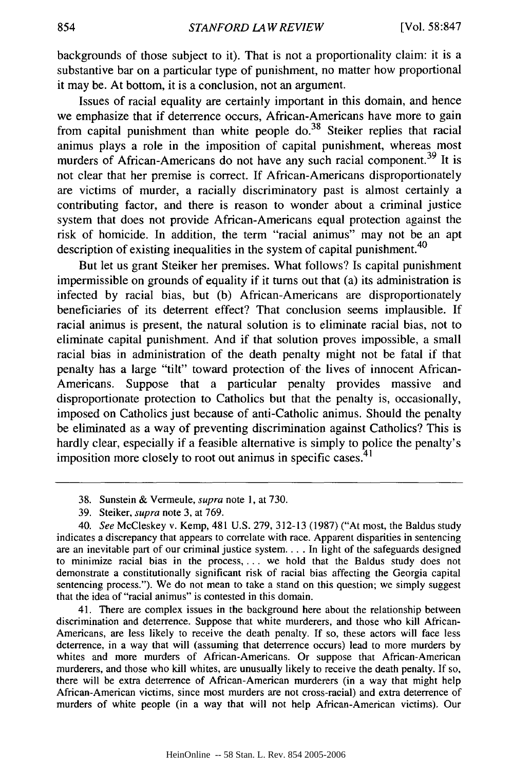backgrounds of those subject to it). That is not a proportionality claim: it is a substantive bar on a particular type of punishment, no matter how proportional it may be. At bottom, it is a conclusion, not an argument.

Issues of racial equality are certainly important in this domain, and hence we emphasize that if deterrence occurs, African-Americans have more to gain from capital punishment than white people  $do.<sup>38</sup>$  Steiker replies that racial animus plays a role in the imposition of capital punishment, whereas most murders of African-Americans do not have any such racial component.<sup>39</sup> It is not clear that her premise is correct. If African-Americans disproportionately are victims of murder, a racially discriminatory past is almost certainly a contributing factor, and there is reason to wonder about a criminal justice system that does not provide African-Americans equal protection against the risk of homicide. In addition, the term "racial animus" may not be an apt description of existing inequalities in the system of capital punishment.<sup>40</sup>

But let us grant Steiker her premises. What follows? Is capital punishment impermissible on grounds of equality if it turns out that (a) its administration is infected by racial bias, but (b) African-Americans are disproportionately beneficiaries of its deterrent effect? That conclusion seems implausible. If racial animus is present, the natural solution is to eliminate racial bias, not to eliminate capital punishment. And if that solution proves impossible, a small racial bias in administration of the death penalty might not be fatal if that penalty has a large "tilt" toward protection of the lives of innocent African-Americans. Suppose that a particular penalty provides massive and disproportionate protection to Catholics but that the penalty is, occasionally, imposed on Catholics just because of anti-Catholic animus. Should the penalty be eliminated as a way of preventing discrimination against Catholics? This is hardly clear, especially if a feasible alternative is simply to police the penalty's imposition more closely to root out animus in specific cases. $41$ 

41. There are complex issues in the background here about the relationship between discrimination and deterrence. Suppose that white murderers, and those who kill African-Americans, are less likely to receive the death penalty. If so, these actors will face less deterrence, in a way that will (assuming that deterrence occurs) lead to more murders by whites and more murders of African-Americans. Or suppose that African-American murderers, and those who kill whites, are unusually likely to receive the death penalty. If so, there will be extra deterrence of African-American murderers (in a way that might help African-American victims, since most murders are not cross-racial) and extra deterrence of murders of white people (in a way that will not help African-American victims). Our

<sup>38.</sup> Sunstein & Vermeule, supra note 1, at 730.

<sup>39.</sup> Steiker, supra note 3, at 769.

<sup>40.</sup> *See* McCleskey v. Kemp, 481 U.S. 279, 312-13 (1987) ("At most, the Baldus study indicates a discrepancy that appears to correlate with race. Apparent disparities in sentencing are an inevitable part of our criminal justice system... . In light of the safeguards designed to minimize racial bias in the process **....** we hold that the Baldus study does not demonstrate a constitutionally significant risk of racial bias affecting the Georgia capital sentencing process."). We do not mean to take a stand on this question; we simply suggest that the idea of "racial animus" is contested in this domain.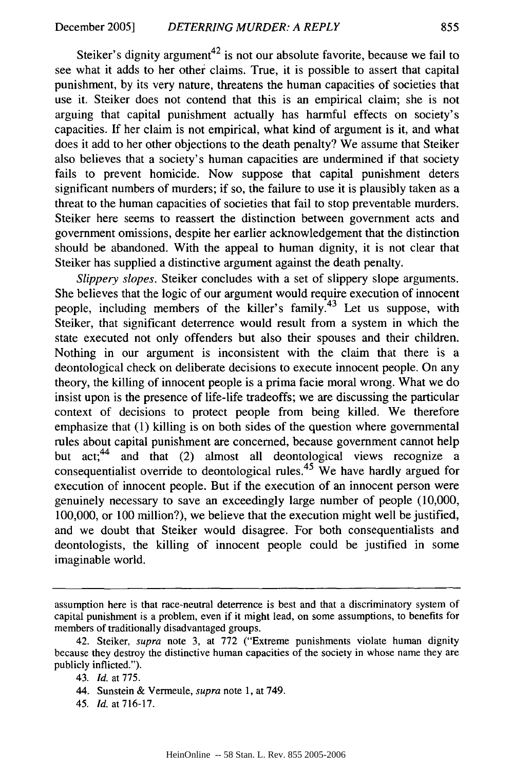Steiker's dignity argument<sup>42</sup> is not our absolute favorite, because we fail to see what it adds to her other claims. True, it is possible to assert that capital punishment, by its very nature, threatens the human capacities of societies that use it. Steiker does not contend that this is an empirical claim; she is not arguing that capital punishment actually has harmful effects on society's capacities. If her claim is not empirical, what kind of argument is it, and what does it add to her other objections to the death penalty? We assume that Steiker also believes that a society's human capacities are undermined if that society fails to prevent homicide. Now suppose that capital punishment deters significant numbers of murders; if so, the failure to use it is plausibly taken as a threat to the human capacities of societies that fail to stop preventable murders. Steiker here seems to reassert the distinction between government acts and government omissions, despite her earlier acknowledgement that the distinction should be abandoned. With the appeal to human dignity, it is not clear that Steiker has supplied a distinctive argument against the death penalty.

*Slippery slopes.* Steiker concludes with a set of slippery slope arguments. She believes that the logic of our argument would require execution of innocent people, including members of the killer's family.<sup>43</sup> Let us suppose, with Steiker, that significant deterrence would result from a system in which the state executed not only offenders but also their spouses and their children. Nothing in our argument is inconsistent with the claim that there is a deontological check on deliberate decisions to execute innocent people. On any theory, the killing of innocent people is a prima facie moral wrong. What we do insist upon is the presence of life-life tradeoffs; we are discussing the particular context of decisions to protect people from being killed. We therefore emphasize that (1) killing is on both sides of the question where governmental rules about capital punishment are concerned, because government cannot help but act;<sup>44</sup> and that (2) almost all deontological views recognize a consequentialist override to deontological rules.<sup>45</sup> We have hardly argued for execution of innocent people. But if the execution of an innocent person were genuinely necessary to save an exceedingly large number of people (10,000, 100,000, or 100 million?), we believe that the execution might well be justified, and we doubt that Steiker would disagree. For both consequentialists and deontologists, the killing of innocent people could be justified in some imaginable world.

45. **Id.** at 716-17.

assumption here is that race-neutral deterrence is best and that a discriminatory system of capital punishment is a problem, even if it might lead, on some assumptions, to benefits for members of traditionally disadvantaged groups.

<sup>42.</sup> Steiker, supra note 3, at 772 ("Extreme punishments violate human dignity because they destroy the distinctive human capacities of the society in whose name they are publicly inflicted.").

<sup>43.</sup> *Id.* at 775.

<sup>44.</sup> Sunstein & Vermeule, *supra* note 1, at 749.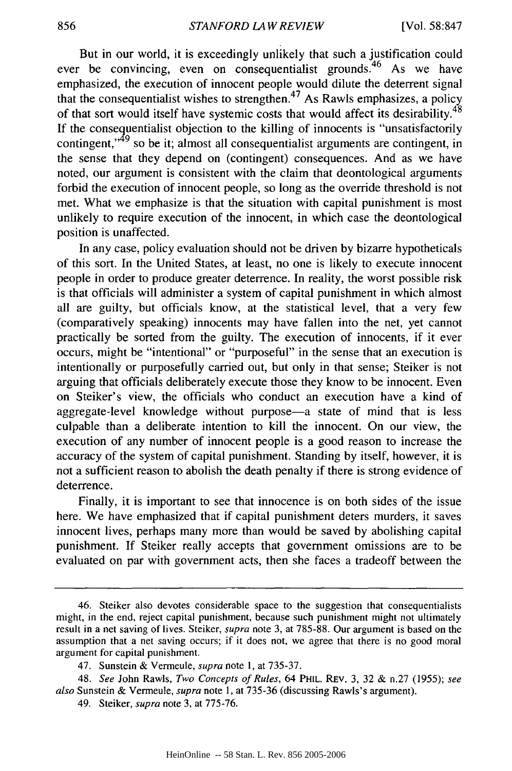But in our world, it is exceedingly unlikely that such a justification could ever be convincing, even on consequentialist grounds.<sup>46</sup> As we have emphasized, the execution of innocent people would dilute the deterrent signal that the consequentialist wishes to strengthen.<sup>47</sup> As Rawls emphasizes, a policy of that sort would itself have systemic costs that would affect its desirability.<sup>48</sup> If the consequentialist objection to the killing of innocents is "unsatisfactorily contingent,<sup>149</sup> so be it; almost all consequentialist arguments are contingent, in the sense that they depend on (contingent) consequences. And as we have noted, our argument is consistent with the claim that deontological arguments forbid the execution of innocent people, so long as the override threshold is not met. What we emphasize is that the situation with capital punishment is most unlikely to require execution of the innocent, in which case the deontological position is unaffected.

In any case, policy evaluation should not be driven by bizarre hypotheticals of this sort. In the United States, at least, no one is likely to execute innocent people in order to produce greater deterrence. In reality, the worst possible risk is that officials will administer a system of capital punishment in which almost all are guilty, but officials know, at the statistical level, that a very few (comparatively speaking) innocents may have fallen into the net, yet cannot practically be sorted from the guilty. The execution of innocents, if it ever occurs, might be "intentional" or "purposeful" in the sense that an execution is intentionally or purposefully carried out, but only in that sense; Steiker is not arguing that officials deliberately execute those they know to be innocent. Even on Steiker's view, the officials who conduct an execution have a kind of aggregate-level knowledge without purpose-a state of mind that is less culpable than a deliberate intention to kill the innocent. On our view, the execution of any number of innocent people is a good reason to increase the accuracy of the system of capital punishment. Standing by itself, however, it is not a sufficient reason to abolish the death penalty if there is strong evidence of deterrence.

Finally, it is important to see that innocence is on both sides of the issue here. We have emphasized that if capital punishment deters murders, it saves innocent lives, perhaps many more than would be saved by abolishing capital punishment. If Steiker really accepts that government omissions are to be evaluated on par with government acts, then she faces a tradeoff between the

<sup>46.</sup> Steiker also devotes considerable space to the suggestion that consequentialists might, in the end, reject capital punishment, because such punishment might not ultimately result in a net saving of lives. Steiker, *supra* note 3, at 785-88. Our argument is based on the assumption that a net saving occurs; if it does not, we agree that there is no good moral argument for capital punishment.

<sup>47.</sup> Sunstein & Vermeule, *supra* note **1,** at 735-37.

<sup>48.</sup> *See* John Rawls, *Two Concepts of Rules,* 64 PHIL. REv. 3, 32 & n.27 (1955); *see also* Sunstein & Vermeule, *supra* note 1, at 735-36 (discussing Rawls's argument).

<sup>49.</sup> Steiker, *supra* note 3, at 775-76.